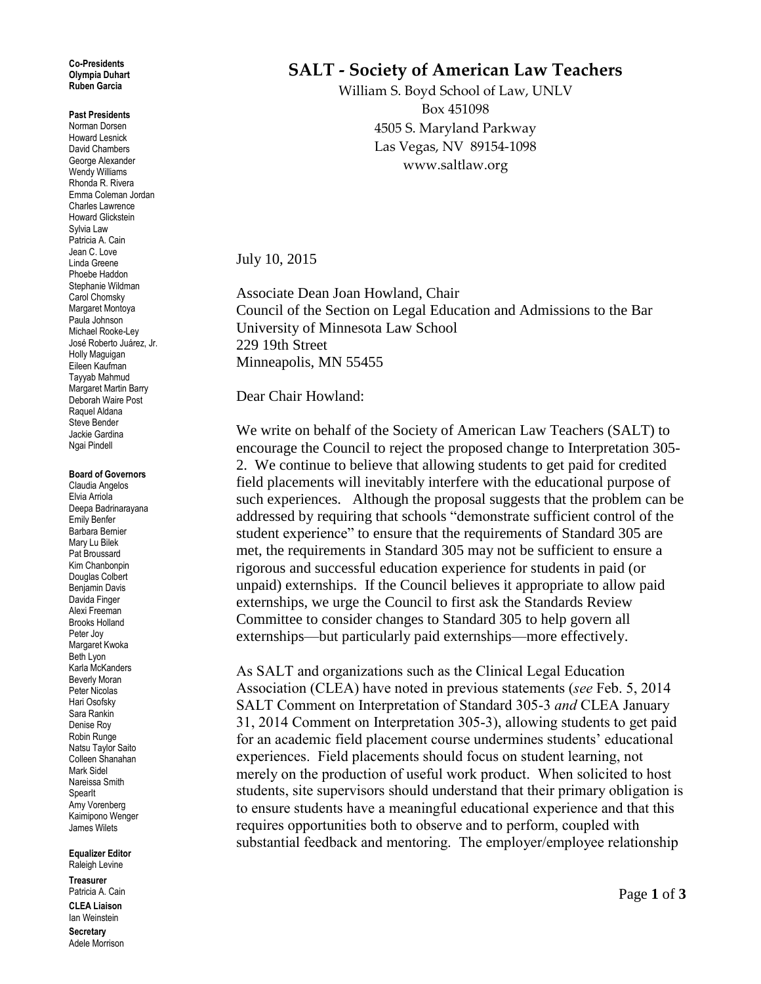#### **Co-Presidents Olympia Duhart Ruben Garcia**

### **Past Presidents**

Norman Dorsen Howard Lesnick David Chambers George Alexander Wendy Williams Rhonda R. Rivera Emma Coleman Jordan Charles Lawrence Howard Glickstein Sylvia Law Patricia A. Cain Jean C. Love Linda Greene Phoebe Haddon Stephanie Wildman Carol Chomsky Margaret Montoya Paula Johnson Michael Rooke-Ley José Roberto Juárez, Jr. Holly Maguigan Eileen Kaufman Tayyab Mahmud Margaret Martin Barry Deborah Waire Post Raquel Aldana Steve Bender Jackie Gardina Ngai Pindell

#### **Board of Governors**

Claudia Angelos Elvia Arriola Deepa Badrinarayana Emily Benfer Barbara Bernier Mary Lu Bilek Pat Broussard Kim Chanbonpin Douglas Colbert Benjamin Davis Davida Finger Alexi Freeman Brooks Holland Peter Joy Margaret Kwoka Beth Lyon Karla McKanders Beverly Moran Peter Nicolas Hari Osofsky Sara Rankin Denise Roy Robin Runge Natsu Taylor Saito Colleen Shanahan Mark Sidel Nareissa Smith **SpearIt** Amy Vorenberg Kaimipono Wenger James Wilets

#### **Equalizer Editor** Raleigh Levine

**Treasurer** Patricia A. Cain **CLEA Liaison** Ian Weinstein

**Secretary** Adele Morrison

# **SALT - Society of American Law Teachers**

William S. Boyd School of Law, UNLV Box 451098 4505 S. Maryland Parkway Las Vegas, NV 89154-1098 www.saltlaw.org

## July 10, 2015

Associate Dean Joan Howland, Chair Council of the Section on Legal Education and Admissions to the Bar University of Minnesota Law School 229 19th Street Minneapolis, MN 55455

Dear Chair Howland:

We write on behalf of the Society of American Law Teachers (SALT) to encourage the Council to reject the proposed change to Interpretation 305- 2. We continue to believe that allowing students to get paid for credited field placements will inevitably interfere with the educational purpose of such experiences. Although the proposal suggests that the problem can be addressed by requiring that schools "demonstrate sufficient control of the student experience" to ensure that the requirements of Standard 305 are met, the requirements in Standard 305 may not be sufficient to ensure a rigorous and successful education experience for students in paid (or unpaid) externships. If the Council believes it appropriate to allow paid externships, we urge the Council to first ask the Standards Review Committee to consider changes to Standard 305 to help govern all externships—but particularly paid externships—more effectively.

As SALT and organizations such as the Clinical Legal Education Association (CLEA) have noted in previous statements (*see* Feb. 5, 2014 SALT Comment on Interpretation of Standard 305-3 *and* CLEA January 31, 2014 Comment on Interpretation 305-3), allowing students to get paid for an academic field placement course undermines students' educational experiences. Field placements should focus on student learning, not merely on the production of useful work product. When solicited to host students, site supervisors should understand that their primary obligation is to ensure students have a meaningful educational experience and that this requires opportunities both to observe and to perform, coupled with substantial feedback and mentoring. The employer/employee relationship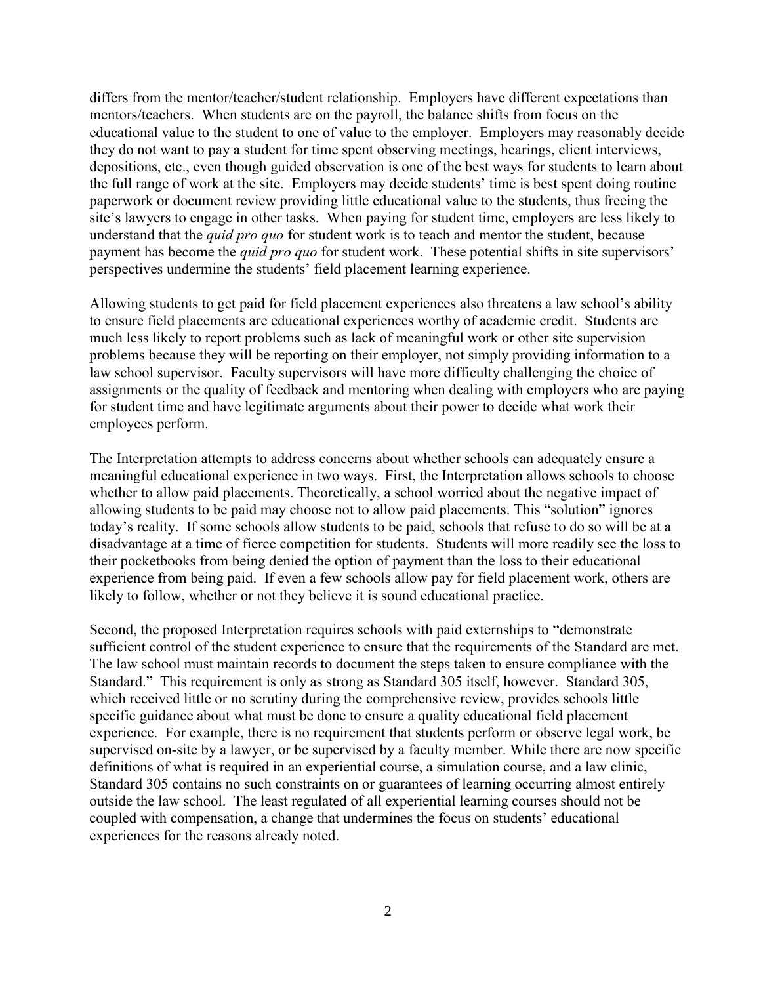differs from the mentor/teacher/student relationship. Employers have different expectations than mentors/teachers. When students are on the payroll, the balance shifts from focus on the educational value to the student to one of value to the employer. Employers may reasonably decide they do not want to pay a student for time spent observing meetings, hearings, client interviews, depositions, etc., even though guided observation is one of the best ways for students to learn about the full range of work at the site. Employers may decide students' time is best spent doing routine paperwork or document review providing little educational value to the students, thus freeing the site's lawyers to engage in other tasks. When paying for student time, employers are less likely to understand that the *quid pro quo* for student work is to teach and mentor the student, because payment has become the *quid pro quo* for student work. These potential shifts in site supervisors' perspectives undermine the students' field placement learning experience.

Allowing students to get paid for field placement experiences also threatens a law school's ability to ensure field placements are educational experiences worthy of academic credit. Students are much less likely to report problems such as lack of meaningful work or other site supervision problems because they will be reporting on their employer, not simply providing information to a law school supervisor. Faculty supervisors will have more difficulty challenging the choice of assignments or the quality of feedback and mentoring when dealing with employers who are paying for student time and have legitimate arguments about their power to decide what work their employees perform.

The Interpretation attempts to address concerns about whether schools can adequately ensure a meaningful educational experience in two ways. First, the Interpretation allows schools to choose whether to allow paid placements. Theoretically, a school worried about the negative impact of allowing students to be paid may choose not to allow paid placements. This "solution" ignores today's reality. If some schools allow students to be paid, schools that refuse to do so will be at a disadvantage at a time of fierce competition for students. Students will more readily see the loss to their pocketbooks from being denied the option of payment than the loss to their educational experience from being paid. If even a few schools allow pay for field placement work, others are likely to follow, whether or not they believe it is sound educational practice.

Second, the proposed Interpretation requires schools with paid externships to "demonstrate sufficient control of the student experience to ensure that the requirements of the Standard are met. The law school must maintain records to document the steps taken to ensure compliance with the Standard." This requirement is only as strong as Standard 305 itself, however. Standard 305, which received little or no scrutiny during the comprehensive review, provides schools little specific guidance about what must be done to ensure a quality educational field placement experience. For example, there is no requirement that students perform or observe legal work, be supervised on-site by a lawyer, or be supervised by a faculty member. While there are now specific definitions of what is required in an experiential course, a simulation course, and a law clinic, Standard 305 contains no such constraints on or guarantees of learning occurring almost entirely outside the law school. The least regulated of all experiential learning courses should not be coupled with compensation, a change that undermines the focus on students' educational experiences for the reasons already noted.